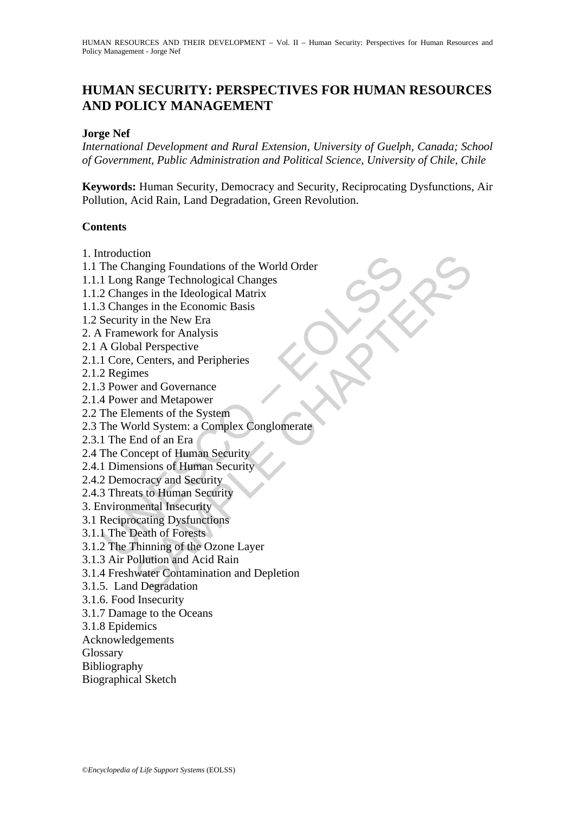## **HUMAN SECURITY: PERSPECTIVES FOR HUMAN RESOURCES AND POLICY MANAGEMENT**

### **Jorge Nef**

*International Development and Rural Extension, University of Guelph, Canada; School of Government, Public Administration and Political Science, University of Chile, Chile* 

**Keywords:** Human Security, Democracy and Security, Reciprocating Dysfunctions, Air Pollution, Acid Rain, Land Degradation, Green Revolution.

## **Contents**

- 1. Introduction
- Induction<br>The Changing Foundations of the World Order<br>
The Changing Foundations of the World Order<br>
2 Changes in the Ideological Matrix<br>
3 Changes in the Economic Basis<br>
Security in the New Era<br>
Security in the New Era<br>
A ton<br>anging Foundations of the World Order<br>Range Technological Changes<br>ges in the Economic Basis<br>ges in the Economic Basis<br>y in the New Era<br>work for Analysis<br>with of Amalysis<br>all Perspective<br>ments of the System<br>mes<br>r and Go 1.1 The Changing Foundations of the World Order
- 1.1.1 Long Range Technological Changes
- 1.1.2 Changes in the Ideological Matrix
- 1.1.3 Changes in the Economic Basis
- 1.2 Security in the New Era
- 2. A Framework for Analysis
- 2.1 A Global Perspective
- 2.1.1 Core, Centers, and Peripheries
- 2.1.2 Regimes
- 2.1.3 Power and Governance
- 2.1.4 Power and Metapower
- 2.2 The Elements of the System
- 2.3 The World System: a Complex Conglomerate
- 2.3.1 The End of an Era
- 2.4 The Concept of Human Security
- 2.4.1 Dimensions of Human Security
- 2.4.2 Democracy and Security
- 2.4.3 Threats to Human Security
- 3. Environmental Insecurity
- 3.1 Reciprocating Dysfunctions
- 3.1.1 The Death of Forests
- 3.1.2 The Thinning of the Ozone Layer
- 3.1.3 Air Pollution and Acid Rain
- 3.1.4 Freshwater Contamination and Depletion
- 3.1.5. Land Degradation
- 3.1.6. Food Insecurity
- 3.1.7 Damage to the Oceans
- 3.1.8 Epidemics
- Acknowledgements
- Glossary
- Bibliography
- Biographical Sketch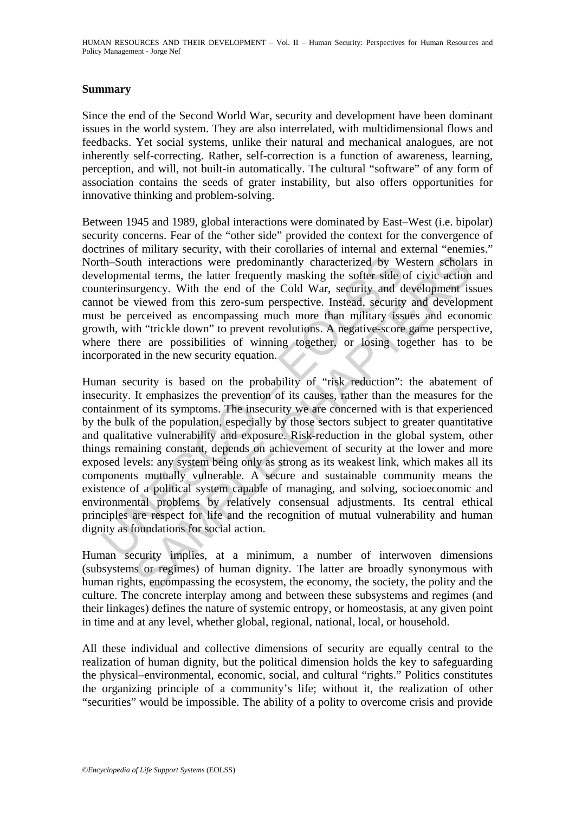## **Summary**

Since the end of the Second World War, security and development have been dominant issues in the world system. They are also interrelated, with multidimensional flows and feedbacks. Yet social systems, unlike their natural and mechanical analogues, are not inherently self-correcting. Rather, self-correction is a function of awareness, learning, perception, and will, not built-in automatically. The cultural "software" of any form of association contains the seeds of grater instability, but also offers opportunities for innovative thinking and problem-solving.

Between 1945 and 1989, global interactions were dominated by East–West (i.e. bipolar) security concerns. Fear of the "other side" provided the context for the convergence of doctrines of military security, with their corollaries of internal and external "enemies." North–South interactions were predominantly characterized by Western scholars in developmental terms, the latter frequently masking the softer side of civic action and counterinsurgency. With the end of the Cold War, security and development issues cannot be viewed from this zero-sum perspective. Instead, security and development must be perceived as encompassing much more than military issues and economic growth, with "trickle down" to prevent revolutions. A negative-score game perspective, where there are possibilities of winning together, or losing together has to be incorporated in the new security equation.

th-South interactions were predominantly characterized by W<br>elopmental terms, the latter frequently masking the softer side of<br>the interinsurgency. With the end of the Cold War, security and d<br>or be viewed from this zero-s th interactions were predominantly characterized by Western scholar<br>thal terms, the latter frequently masking the softer side of civic action<br>trail terms, the latter frequently masking the softer side of civic action<br>viewe Human security is based on the probability of "risk reduction": the abatement of insecurity. It emphasizes the prevention of its causes, rather than the measures for the containment of its symptoms. The insecurity we are concerned with is that experienced by the bulk of the population, especially by those sectors subject to greater quantitative and qualitative vulnerability and exposure. Risk-reduction in the global system, other things remaining constant, depends on achievement of security at the lower and more exposed levels: any system being only as strong as its weakest link, which makes all its components mutually vulnerable. A secure and sustainable community means the existence of a political system capable of managing, and solving, socioeconomic and environmental problems by relatively consensual adjustments. Its central ethical principles are respect for life and the recognition of mutual vulnerability and human dignity as foundations for social action.

Human security implies, at a minimum, a number of interwoven dimensions (subsystems or regimes) of human dignity. The latter are broadly synonymous with human rights, encompassing the ecosystem, the economy, the society, the polity and the culture. The concrete interplay among and between these subsystems and regimes (and their linkages) defines the nature of systemic entropy, or homeostasis, at any given point in time and at any level, whether global, regional, national, local, or household.

All these individual and collective dimensions of security are equally central to the realization of human dignity, but the political dimension holds the key to safeguarding the physical–environmental, economic, social, and cultural "rights." Politics constitutes the organizing principle of a community's life; without it, the realization of other "securities" would be impossible. The ability of a polity to overcome crisis and provide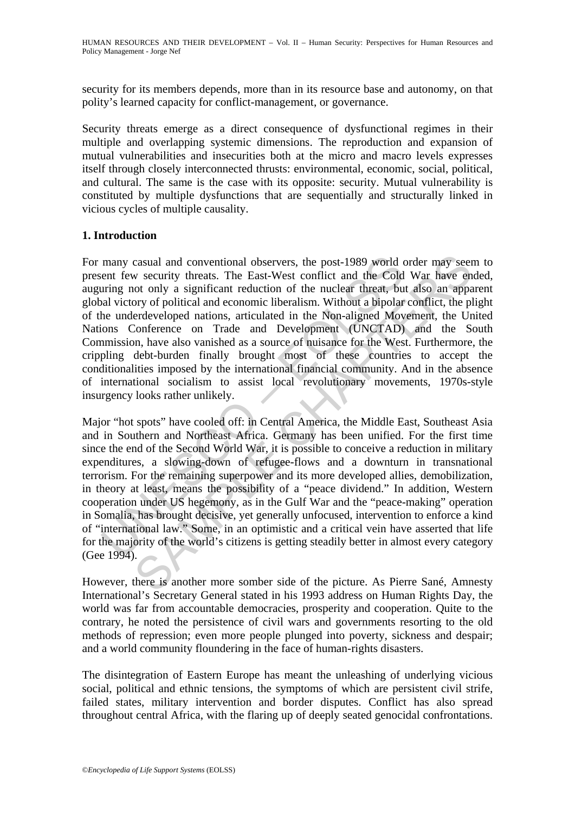security for its members depends, more than in its resource base and autonomy, on that polity's learned capacity for conflict-management, or governance.

Security threats emerge as a direct consequence of dysfunctional regimes in their multiple and overlapping systemic dimensions. The reproduction and expansion of mutual vulnerabilities and insecurities both at the micro and macro levels expresses itself through closely interconnected thrusts: environmental, economic, social, political, and cultural. The same is the case with its opposite: security. Mutual vulnerability is constituted by multiple dysfunctions that are sequentially and structurally linked in vicious cycles of multiple causality.

## **1. Introduction**

many casual and conventional observers, the post-1989 world e<br>ent few security threats. The East-West conflict and the Cold<br>uring not only a significant reduction of the nuclear threat, bu<br>al victory of political and econo casual and conventional observers, the post-1989 world order may see<br>or w security threats. The East-West conflict and the Cold War have en<br>ot only a significant reduction of the nuclear threat, but also an appo<br>pory of po For many casual and conventional observers, the post-1989 world order may seem to present few security threats. The East-West conflict and the Cold War have ended, auguring not only a significant reduction of the nuclear threat, but also an apparent global victory of political and economic liberalism. Without a bipolar conflict, the plight of the underdeveloped nations, articulated in the Non-aligned Movement, the United Nations Conference on Trade and Development (UNCTAD) and the South Commission, have also vanished as a source of nuisance for the West. Furthermore, the crippling debt-burden finally brought most of these countries to accept the conditionalities imposed by the international financial community. And in the absence of international socialism to assist local revolutionary movements, 1970s-style insurgency looks rather unlikely.

Major "hot spots" have cooled off: in Central America, the Middle East, Southeast Asia and in Southern and Northeast Africa. Germany has been unified. For the first time since the end of the Second World War, it is possible to conceive a reduction in military expenditures, a slowing-down of refugee-flows and a downturn in transnational terrorism. For the remaining superpower and its more developed allies, demobilization, in theory at least, means the possibility of a "peace dividend." In addition, Western cooperation under US hegemony, as in the Gulf War and the "peace-making" operation in Somalia, has brought decisive, yet generally unfocused, intervention to enforce a kind of "international law." Some, in an optimistic and a critical vein have asserted that life for the majority of the world's citizens is getting steadily better in almost every category (Gee 1994).

However, there is another more somber side of the picture. As Pierre Sané, Amnesty International's Secretary General stated in his 1993 address on Human Rights Day, the world was far from accountable democracies, prosperity and cooperation. Quite to the contrary, he noted the persistence of civil wars and governments resorting to the old methods of repression; even more people plunged into poverty, sickness and despair; and a world community floundering in the face of human-rights disasters.

The disintegration of Eastern Europe has meant the unleashing of underlying vicious social, political and ethnic tensions, the symptoms of which are persistent civil strife, failed states, military intervention and border disputes. Conflict has also spread throughout central Africa, with the flaring up of deeply seated genocidal confrontations.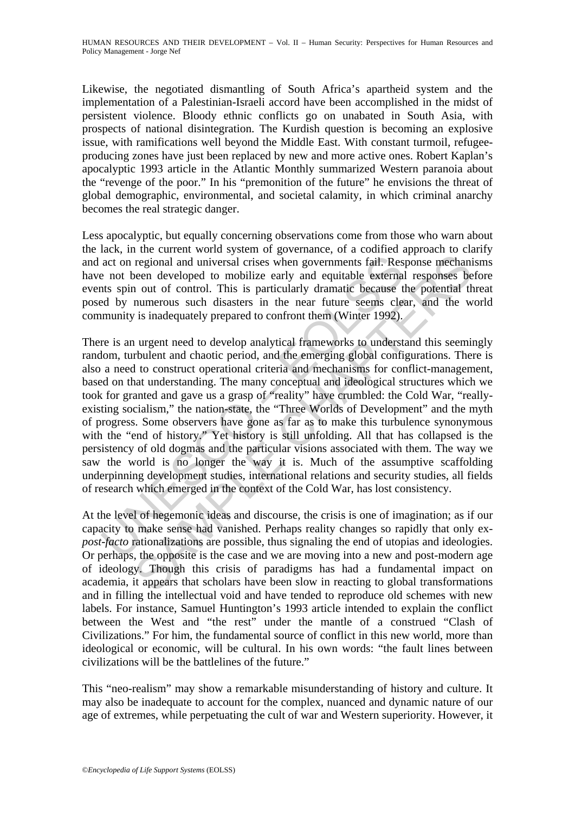Likewise, the negotiated dismantling of South Africa's apartheid system and the implementation of a Palestinian-Israeli accord have been accomplished in the midst of persistent violence. Bloody ethnic conflicts go on unabated in South Asia, with prospects of national disintegration. The Kurdish question is becoming an explosive issue, with ramifications well beyond the Middle East. With constant turmoil, refugeeproducing zones have just been replaced by new and more active ones. Robert Kaplan's apocalyptic 1993 article in the Atlantic Monthly summarized Western paranoia about the "revenge of the poor." In his "premonition of the future" he envisions the threat of global demographic, environmental, and societal calamity, in which criminal anarchy becomes the real strategic danger.

Less apocalyptic, but equally concerning observations come from those who warn about the lack, in the current world system of governance, of a codified approach to clarify and act on regional and universal crises when governments fail. Response mechanisms have not been developed to mobilize early and equitable external responses before events spin out of control. This is particularly dramatic because the potential threat posed by numerous such disasters in the near future seems clear, and the world community is inadequately prepared to confront them (Winter 1992).

act on regional and universal crises when governments fail. Res<br>a not been developed to mobilize early and equitable external<br>ats spin out of control. This is particularly dramatic because t<br>d by nunerous such disasters in regional and universal crises when governments fail. Response mechaninees regional and universal crises when governments fail. Response mechanine out of control. This is particularly dramatic because the potential theorem. There is an urgent need to develop analytical frameworks to understand this seemingly random, turbulent and chaotic period, and the emerging global configurations. There is also a need to construct operational criteria and mechanisms for conflict-management, based on that understanding. The many conceptual and ideological structures which we took for granted and gave us a grasp of "reality" have crumbled: the Cold War, "reallyexisting socialism," the nation-state, the "Three Worlds of Development" and the myth of progress. Some observers have gone as far as to make this turbulence synonymous with the "end of history." Yet history is still unfolding. All that has collapsed is the persistency of old dogmas and the particular visions associated with them. The way we saw the world is no longer the way it is. Much of the assumptive scaffolding underpinning development studies, international relations and security studies, all fields of research which emerged in the context of the Cold War, has lost consistency.

At the level of hegemonic ideas and discourse, the crisis is one of imagination; as if our capacity to make sense had vanished. Perhaps reality changes so rapidly that only ex*post-facto* rationalizations are possible, thus signaling the end of utopias and ideologies. Or perhaps, the opposite is the case and we are moving into a new and post-modern age of ideology. Though this crisis of paradigms has had a fundamental impact on academia, it appears that scholars have been slow in reacting to global transformations and in filling the intellectual void and have tended to reproduce old schemes with new labels. For instance, Samuel Huntington's 1993 article intended to explain the conflict between the West and "the rest" under the mantle of a construed "Clash of Civilizations." For him, the fundamental source of conflict in this new world, more than ideological or economic, will be cultural. In his own words: "the fault lines between civilizations will be the battlelines of the future."

This "neo-realism" may show a remarkable misunderstanding of history and culture. It may also be inadequate to account for the complex, nuanced and dynamic nature of our age of extremes, while perpetuating the cult of war and Western superiority. However, it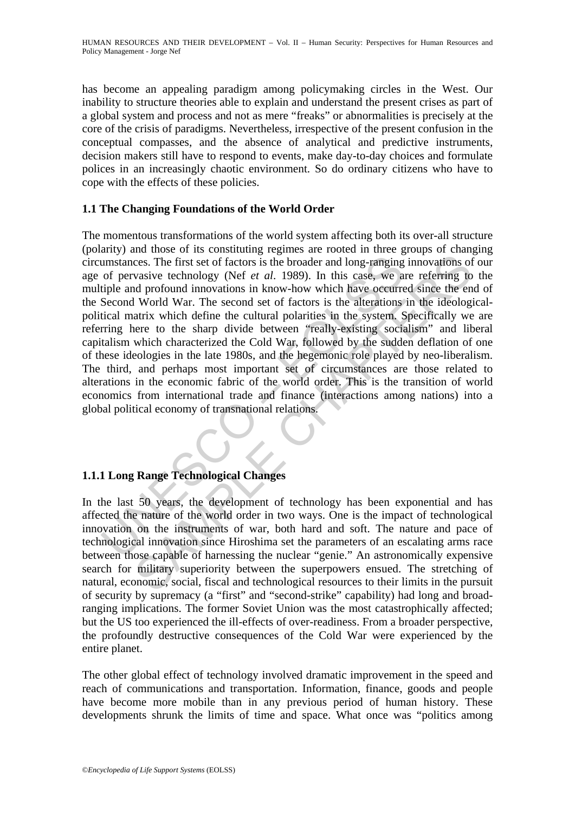has become an appealing paradigm among policymaking circles in the West. Our inability to structure theories able to explain and understand the present crises as part of a global system and process and not as mere "freaks" or abnormalities is precisely at the core of the crisis of paradigms. Nevertheless, irrespective of the present confusion in the conceptual compasses, and the absence of analytical and predictive instruments, decision makers still have to respond to events, make day-to-day choices and formulate polices in an increasingly chaotic environment. So do ordinary citizens who have to cope with the effects of these policies.

## **1.1 The Changing Foundations of the World Order**

umstances. The first set of factors is the broader and long-ranging<br>of pervasive technology (Nef *et al.* 1989). In this case, we a<br>tiple and profound innovations in know-how which have occurre<br>Second World War. The second ces. The first set of factors is the broader and long-ranging innovations of vasive technology (Nef *et al.* 1989). In this case, we are referring to provide the energy of  $\mathbb{R}^2$  and  $\mathbb{R}^2$  and  $\mathbb{R}^2$  and  $\mathbb$ The momentous transformations of the world system affecting both its over-all structure (polarity) and those of its constituting regimes are rooted in three groups of changing circumstances. The first set of factors is the broader and long-ranging innovations of our age of pervasive technology (Nef *et al*. 1989). In this case, we are referring to the multiple and profound innovations in know-how which have occurred since the end of the Second World War. The second set of factors is the alterations in the ideologicalpolitical matrix which define the cultural polarities in the system. Specifically we are referring here to the sharp divide between "really-existing socialism" and liberal capitalism which characterized the Cold War, followed by the sudden deflation of one of these ideologies in the late 1980s, and the hegemonic role played by neo-liberalism. The third, and perhaps most important set of circumstances are those related to alterations in the economic fabric of the world order. This is the transition of world economics from international trade and finance (interactions among nations) into a global political economy of transnational relations.

## **1.1.1 Long Range Technological Changes**

In the last 50 years, the development of technology has been exponential and has affected the nature of the world order in two ways. One is the impact of technological innovation on the instruments of war, both hard and soft. The nature and pace of technological innovation since Hiroshima set the parameters of an escalating arms race between those capable of harnessing the nuclear "genie." An astronomically expensive search for military superiority between the superpowers ensued. The stretching of natural, economic, social, fiscal and technological resources to their limits in the pursuit of security by supremacy (a "first" and "second-strike" capability) had long and broadranging implications. The former Soviet Union was the most catastrophically affected; but the US too experienced the ill-effects of over-readiness. From a broader perspective, the profoundly destructive consequences of the Cold War were experienced by the entire planet.

The other global effect of technology involved dramatic improvement in the speed and reach of communications and transportation. Information, finance, goods and people have become more mobile than in any previous period of human history. These developments shrunk the limits of time and space. What once was "politics among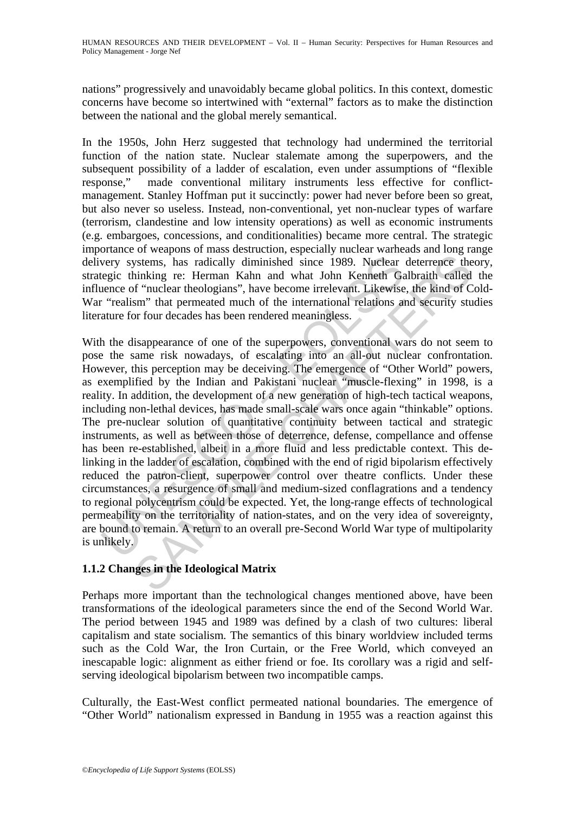nations" progressively and unavoidably became global politics. In this context, domestic concerns have become so intertwined with "external" factors as to make the distinction between the national and the global merely semantical.

In the 1950s, John Herz suggested that technology had undermined the territorial function of the nation state. Nuclear stalemate among the superpowers, and the subsequent possibility of a ladder of escalation, even under assumptions of "flexible response," made conventional military instruments less effective for conflictmanagement. Stanley Hoffman put it succinctly: power had never before been so great, but also never so useless. Instead, non-conventional, yet non-nuclear types of warfare (terrorism, clandestine and low intensity operations) as well as economic instruments (e.g. embargoes, concessions, and conditionalities) became more central. The strategic importance of weapons of mass destruction, especially nuclear warheads and long range delivery systems, has radically diminished since 1989. Nuclear deterrence theory, strategic thinking re: Herman Kahn and what John Kenneth Galbraith called the influence of "nuclear theologians", have become irrelevant. Likewise, the kind of Cold-War "realism" that permeated much of the international relations and security studies literature for four decades has been rendered meaningless.

very systems, has radically diminished since 1989. Nuclear<br>legic thinking re: Herman Kahn and what John Kenneth Ga<br>ence of "nuclear theologians", have become irrelevant. Likewise<br>"realism" that permeated much of the intern systems, has radically diminished since 1989. Nuclear deterrence the inhibiting re: Herman Kahn and what John Kenneth Galbraith called "nuclear theologians", have become irrelevent. Likewise, the kind of C mulcear theologi With the disappearance of one of the superpowers, conventional wars do not seem to pose the same risk nowadays, of escalating into an all-out nuclear confrontation. However, this perception may be deceiving. The emergence of "Other World" powers, as exemplified by the Indian and Pakistani nuclear "muscle-flexing" in 1998, is a reality. In addition, the development of a new generation of high-tech tactical weapons, including non-lethal devices, has made small-scale wars once again "thinkable" options. The pre-nuclear solution of quantitative continuity between tactical and strategic instruments, as well as between those of deterrence, defense, compellance and offense has been re-established, albeit in a more fluid and less predictable context. This delinking in the ladder of escalation, combined with the end of rigid bipolarism effectively reduced the patron-client, superpower control over theatre conflicts. Under these circumstances, a resurgence of small and medium-sized conflagrations and a tendency to regional polycentrism could be expected. Yet, the long-range effects of technological permeability on the territoriality of nation-states, and on the very idea of sovereignty, are bound to remain. A return to an overall pre-Second World War type of multipolarity is unlikely.

## **1.1.2 Changes in the Ideological Matrix**

Perhaps more important than the technological changes mentioned above, have been transformations of the ideological parameters since the end of the Second World War. The period between 1945 and 1989 was defined by a clash of two cultures: liberal capitalism and state socialism. The semantics of this binary worldview included terms such as the Cold War, the Iron Curtain, or the Free World, which conveyed an inescapable logic: alignment as either friend or foe. Its corollary was a rigid and selfserving ideological bipolarism between two incompatible camps.

Culturally, the East-West conflict permeated national boundaries. The emergence of "Other World" nationalism expressed in Bandung in 1955 was a reaction against this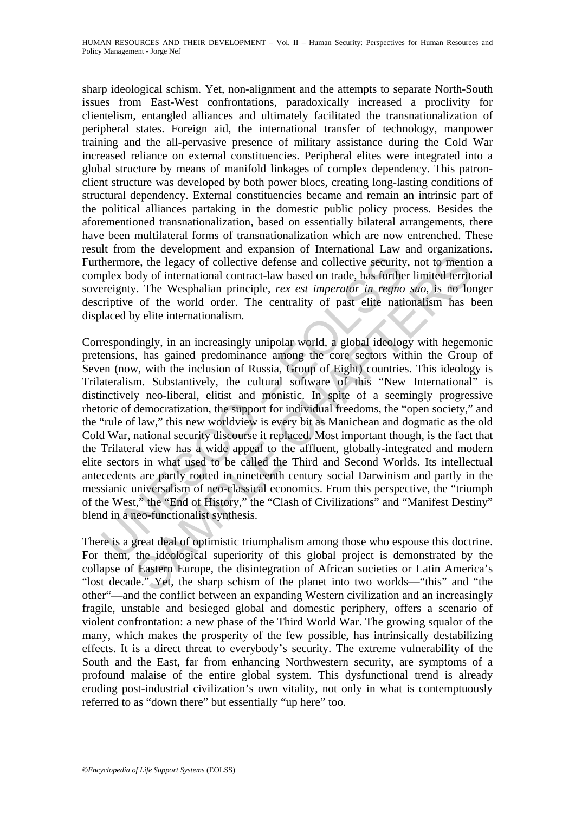sharp ideological schism. Yet, non-alignment and the attempts to separate North-South issues from East-West confrontations, paradoxically increased a proclivity for clientelism, entangled alliances and ultimately facilitated the transnationalization of peripheral states. Foreign aid, the international transfer of technology, manpower training and the all-pervasive presence of military assistance during the Cold War increased reliance on external constituencies. Peripheral elites were integrated into a global structure by means of manifold linkages of complex dependency. This patronclient structure was developed by both power blocs, creating long-lasting conditions of structural dependency. External constituencies became and remain an intrinsic part of the political alliances partaking in the domestic public policy process. Besides the aforementioned transnationalization, based on essentially bilateral arrangements, there have been multilateral forms of transnationalization which are now entrenched. These result from the development and expansion of International Law and organizations. Furthermore, the legacy of collective defense and collective security, not to mention a complex body of international contract-law based on trade, has further limited territorial sovereignty. The Wesphalian principle, *rex est imperator in regno suo*, is no longer descriptive of the world order. The centrality of past elite nationalism has been displaced by elite internationalism.

thermore, the legacy of collective defense and collective security<br>plex body of international contract-law based on trade, has further<br>ereignty. The Wesphalian principle, *rex est imperator in regno*<br>riptive of the world o re, the legacy of collective defense and collective security, not to mentic<br>order of international contract-law based on trade, has further limited territory. The Wesphalian principle, *rex est imperator in regno suo*, is Correspondingly, in an increasingly unipolar world, a global ideology with hegemonic pretensions, has gained predominance among the core sectors within the Group of Seven (now, with the inclusion of Russia, Group of Eight) countries. This ideology is Trilateralism. Substantively, the cultural software of this "New International" is distinctively neo-liberal, elitist and monistic. In spite of a seemingly progressive rhetoric of democratization, the support for individual freedoms, the "open society," and the "rule of law," this new worldview is every bit as Manichean and dogmatic as the old Cold War, national security discourse it replaced. Most important though, is the fact that the Trilateral view has a wide appeal to the affluent, globally-integrated and modern elite sectors in what used to be called the Third and Second Worlds. Its intellectual antecedents are partly rooted in nineteenth century social Darwinism and partly in the messianic universalism of neo-classical economics. From this perspective, the "triumph of the West," the "End of History," the "Clash of Civilizations" and "Manifest Destiny" blend in a neo-functionalist synthesis.

There is a great deal of optimistic triumphalism among those who espouse this doctrine. For them, the ideological superiority of this global project is demonstrated by the collapse of Eastern Europe, the disintegration of African societies or Latin America's "lost decade." Yet, the sharp schism of the planet into two worlds—"this" and "the other"—and the conflict between an expanding Western civilization and an increasingly fragile, unstable and besieged global and domestic periphery, offers a scenario of violent confrontation: a new phase of the Third World War. The growing squalor of the many, which makes the prosperity of the few possible, has intrinsically destabilizing effects. It is a direct threat to everybody's security. The extreme vulnerability of the South and the East, far from enhancing Northwestern security, are symptoms of a profound malaise of the entire global system. This dysfunctional trend is already eroding post-industrial civilization's own vitality, not only in what is contemptuously referred to as "down there" but essentially "up here" too.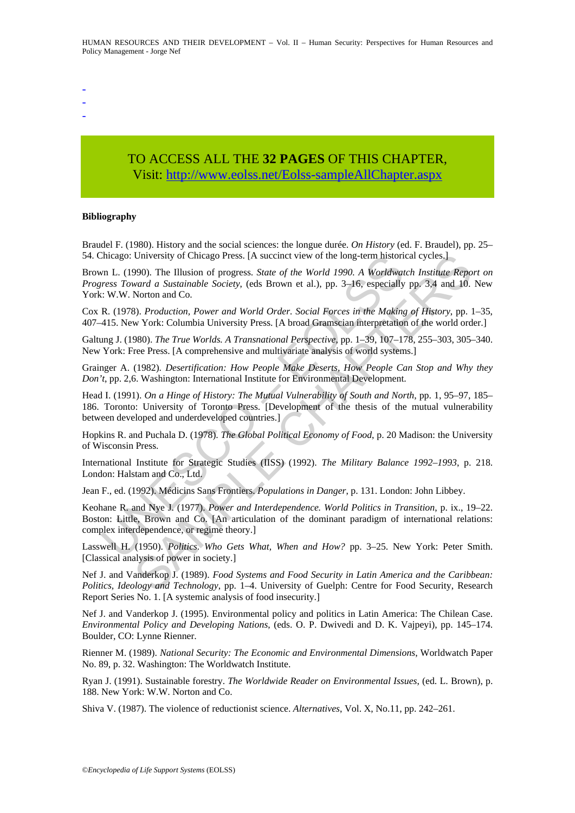-

- -

# TO ACCESS ALL THE **32 PAGES** OF THIS CHAPTER, Visit[: http://www.eolss.net/Eolss-sampleAllChapter.aspx](https://www.eolss.net/ebooklib/sc_cart.aspx?File=E1-10-07)

#### **Bibliography**

Braudel F. (1980). History and the social sciences: the longue durée. *On History* (ed. F. Braudel), pp. 25– 54. Chicago: University of Chicago Press. [A succinct view of the long-term historical cycles.]

Chicago: University of Chicago Press. [A succinct view of the long-term historian L. (1990). The Illusion of progress. *State of the World 1990.* A *Worldwaters Toward a Sustainable Society*, (eds Brown et al.), pp. 3–16, University of Chicago Press. [A succinct view of the long-term historical cycles.]<br>
990). The Illusion of progress. *State of the World 1990. A Worldwatch Institute Repo*<br> *ward a Sustainable Society*, (eds Brown et al.), Brown L. (1990). The Illusion of progress. *State of the World 1990. A Worldwatch Institute Report on Progress Toward a Sustainable Society*, (eds Brown et al.), pp. 3–16, especially pp. 3,4 and 10. New York: W.W. Norton and Co.

Cox R. (1978). *Production, Power and World Order. Social Forces in the Making of History*, pp. 1–35, 407–415. New York: Columbia University Press. [A broad Gramscian interpretation of the world order.]

Galtung J. (1980). *The True Worlds. A Transnational Perspective*, pp. 1–39, 107–178, 255–303, 305–340. New York: Free Press. [A comprehensive and multivariate analysis of world systems.]

Grainger A. (1982). *Desertification: How People Make Deserts, How People Can Stop and Why they Don't*, pp. 2,6. Washington: International Institute for Environmental Development.

Head I. (1991). *On a Hinge of History: The Mutual Vulnerability of South and North*, pp. 1, 95–97, 185– 186. Toronto: University of Toronto Press. [Development of the thesis of the mutual vulnerability between developed and underdeveloped countries.]

Hopkins R. and Puchala D. (1978). *The Global Political Economy of Food*, p. 20 Madison: the University of Wisconsin Press.

International Institute for Strategic Studies (IISS) (1992). *The Military Balance 1992–1993*, p. 218. London: Halstam and Co., Ltd.

Jean F., ed. (1992). Médicins Sans Frontiers. *Populations in Danger*, p. 131. London: John Libbey.

Keohane R. and Nye J. (1977). *Power and Interdependence. World Politics in Transition*, p. ix., 19–22. Boston: Little, Brown and Co. [An articulation of the dominant paradigm of international relations: complex interdependence, or regime theory.]

Lasswell H. (1950). *Politics. Who Gets What, When and How?* pp. 3–25. New York: Peter Smith. [Classical analysis of power in society.]

Nef J. and Vanderkop J. (1989). *Food Systems and Food Security in Latin America and the Caribbean: Politics, Ideology and Technology*, pp. 1–4. University of Guelph: Centre for Food Security, Research Report Series No. 1. [A systemic analysis of food insecurity.]

Nef J. and Vanderkop J. (1995). Environmental policy and politics in Latin America: The Chilean Case. *Environmental Policy and Developing Nations*, (eds. O. P. Dwivedi and D. K. Vajpeyi), pp. 145–174. Boulder, CO: Lynne Rienner.

Rienner M. (1989). *National Security: The Economic and Environmental Dimensions*, Worldwatch Paper No. 89, p. 32. Washington: The Worldwatch Institute.

Ryan J. (1991). Sustainable forestry. *The Worldwide Reader on Environmental Issues*, (ed. L. Brown), p. 188. New York: W.W. Norton and Co.

Shiva V. (1987). The violence of reductionist science. *Alternatives*, Vol. X, No.11, pp. 242–261.